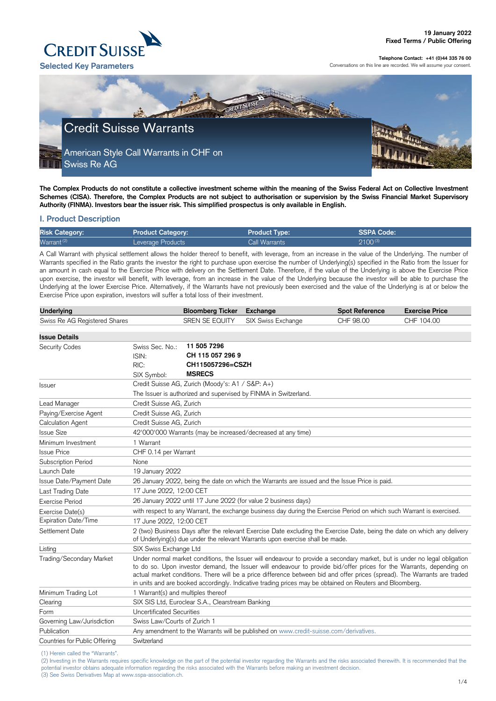(1) Herein called the "Warrants".

(2) Investing in the Warrants requires specific knowledge on the part of the potential investor regarding the Warrants and the risks associated therewith. It is recommended that the potential investor obtains adequate information regarding the risks associated with the Warrants before making an investment decision.

(3) See Swiss Derivatives Map at www.sspa-association.ch.



#### **Telephone Contact: +41 (0)44 335 76 00**

Conversations on this line are recorded. We will assume your consent.

**The Complex Products do not constitute a collective investment scheme within the meaning of the Swiss Federal Act on Collective Investment (1)Schemes (CISA). Therefore, the Complex Products are not subject to authorisation or supervision by the Swiss Financial Market Supervisory Authority (FINMA). Investors bear the issuer risk. This simplified prospectus is only available in English.**

## **I. Product Description**

| <b>Risk Category:</b>  | <b>Product Category:</b> | Product Type:1 | <b>SSPA Code:</b> |
|------------------------|--------------------------|----------------|-------------------|
| Warrant <sup>(2)</sup> | Leverage Products        | Call Warrants  | $2100^{(3)}$      |

A Call Warrant with physical settlement allows the holder thereof to benefit, with leverage, from an increase in the value of the Underlying. The number of Warrants specified in the Ratio grants the investor the right to purchase upon exercise the number of Underlying(s) specified in the Ratio from the Issuer for an amount in cash equal to the Exercise Price with delivery on the Settlement Date. Therefore, if the value of the Underlying is above the Exercise Price upon exercise, the investor will benefit, with leverage, from an increase in the value of the Underlying because the investor will be able to purchase the Underlying at the lower Exercise Price. Alternatively, if the Warrants have not previously been exercised and the value of the Underlying is at or below the Exercise Price upon expiration, investors will suffer a total loss of their investment.

| <b>Underlying</b>             |                                                                                                                                                                                                                                                                                                                                                                                                                                                                                            | <b>Bloomberg Ticker</b>                          | <b>Exchange</b>                                                                                                                                                                                           | <b>Spot Reference</b> | <b>Exercise Price</b> |
|-------------------------------|--------------------------------------------------------------------------------------------------------------------------------------------------------------------------------------------------------------------------------------------------------------------------------------------------------------------------------------------------------------------------------------------------------------------------------------------------------------------------------------------|--------------------------------------------------|-----------------------------------------------------------------------------------------------------------------------------------------------------------------------------------------------------------|-----------------------|-----------------------|
| Swiss Re AG Registered Shares |                                                                                                                                                                                                                                                                                                                                                                                                                                                                                            | <b>SREN SE EQUITY</b>                            | SIX Swiss Exchange                                                                                                                                                                                        | CHF 98.00             | CHF 104.00            |
|                               |                                                                                                                                                                                                                                                                                                                                                                                                                                                                                            |                                                  |                                                                                                                                                                                                           |                       |                       |
| <b>Issue Details</b>          |                                                                                                                                                                                                                                                                                                                                                                                                                                                                                            | 11 505 7296                                      |                                                                                                                                                                                                           |                       |                       |
| <b>Security Codes</b>         | Swiss Sec. No.:<br>ISIN:                                                                                                                                                                                                                                                                                                                                                                                                                                                                   | CH 115 057 296 9                                 |                                                                                                                                                                                                           |                       |                       |
|                               | RIC:                                                                                                                                                                                                                                                                                                                                                                                                                                                                                       | CH115057296=CSZH                                 |                                                                                                                                                                                                           |                       |                       |
|                               | SIX Symbol:                                                                                                                                                                                                                                                                                                                                                                                                                                                                                | <b>MSRECS</b>                                    |                                                                                                                                                                                                           |                       |                       |
| <b>Issuer</b>                 |                                                                                                                                                                                                                                                                                                                                                                                                                                                                                            | Credit Suisse AG, Zurich (Moody's: A1 / S&P: A+) |                                                                                                                                                                                                           |                       |                       |
|                               |                                                                                                                                                                                                                                                                                                                                                                                                                                                                                            |                                                  | The Issuer is authorized and supervised by FINMA in Switzerland.                                                                                                                                          |                       |                       |
| Lead Manager                  | Credit Suisse AG, Zurich                                                                                                                                                                                                                                                                                                                                                                                                                                                                   |                                                  |                                                                                                                                                                                                           |                       |                       |
| Paying/Exercise Agent         | Credit Suisse AG, Zurich                                                                                                                                                                                                                                                                                                                                                                                                                                                                   |                                                  |                                                                                                                                                                                                           |                       |                       |
| <b>Calculation Agent</b>      | Credit Suisse AG, Zurich                                                                                                                                                                                                                                                                                                                                                                                                                                                                   |                                                  |                                                                                                                                                                                                           |                       |                       |
| <b>Issue Size</b>             |                                                                                                                                                                                                                                                                                                                                                                                                                                                                                            |                                                  | 42'000'000 Warrants (may be increased/decreased at any time)                                                                                                                                              |                       |                       |
| Minimum Investment            | 1 Warrant                                                                                                                                                                                                                                                                                                                                                                                                                                                                                  |                                                  |                                                                                                                                                                                                           |                       |                       |
| <b>Issue Price</b>            | CHF 0.14 per Warrant                                                                                                                                                                                                                                                                                                                                                                                                                                                                       |                                                  |                                                                                                                                                                                                           |                       |                       |
| <b>Subscription Period</b>    | None                                                                                                                                                                                                                                                                                                                                                                                                                                                                                       |                                                  |                                                                                                                                                                                                           |                       |                       |
| Launch Date                   | 19 January 2022                                                                                                                                                                                                                                                                                                                                                                                                                                                                            |                                                  |                                                                                                                                                                                                           |                       |                       |
| Issue Date/Payment Date       |                                                                                                                                                                                                                                                                                                                                                                                                                                                                                            |                                                  | 26 January 2022, being the date on which the Warrants are issued and the Issue Price is paid.                                                                                                             |                       |                       |
| Last Trading Date             | 17 June 2022, 12:00 CET                                                                                                                                                                                                                                                                                                                                                                                                                                                                    |                                                  |                                                                                                                                                                                                           |                       |                       |
| <b>Exercise Period</b>        |                                                                                                                                                                                                                                                                                                                                                                                                                                                                                            |                                                  | 26 January 2022 until 17 June 2022 (for value 2 business days)                                                                                                                                            |                       |                       |
| Exercise Date(s)              |                                                                                                                                                                                                                                                                                                                                                                                                                                                                                            |                                                  | with respect to any Warrant, the exchange business day during the Exercise Period on which such Warrant is exercised.                                                                                     |                       |                       |
| Expiration Date/Time          | 17 June 2022, 12:00 CET                                                                                                                                                                                                                                                                                                                                                                                                                                                                    |                                                  |                                                                                                                                                                                                           |                       |                       |
| Settlement Date               |                                                                                                                                                                                                                                                                                                                                                                                                                                                                                            |                                                  | 2 (two) Business Days after the relevant Exercise Date excluding the Exercise Date, being the date on which any delivery<br>of Underlying(s) due under the relevant Warrants upon exercise shall be made. |                       |                       |
| Listing                       | SIX Swiss Exchange Ltd                                                                                                                                                                                                                                                                                                                                                                                                                                                                     |                                                  |                                                                                                                                                                                                           |                       |                       |
| Trading/Secondary Market      | Under normal market conditions, the Issuer will endeavour to provide a secondary market, but is under no legal obligation<br>to do so. Upon investor demand, the Issuer will endeavour to provide bid/offer prices for the Warrants, depending on<br>actual market conditions. There will be a price difference between bid and offer prices (spread). The Warrants are traded<br>in units and are booked accordingly. Indicative trading prices may be obtained on Reuters and Bloomberg. |                                                  |                                                                                                                                                                                                           |                       |                       |
| Minimum Trading Lot           | 1 Warrant(s) and multiples thereof                                                                                                                                                                                                                                                                                                                                                                                                                                                         |                                                  |                                                                                                                                                                                                           |                       |                       |
| Clearing                      | SIX SIS Ltd, Euroclear S.A., Clearstream Banking                                                                                                                                                                                                                                                                                                                                                                                                                                           |                                                  |                                                                                                                                                                                                           |                       |                       |
| Form                          | <b>Uncertificated Securities</b>                                                                                                                                                                                                                                                                                                                                                                                                                                                           |                                                  |                                                                                                                                                                                                           |                       |                       |
| Governing Law/Jurisdiction    | Swiss Law/Courts of Zurich                                                                                                                                                                                                                                                                                                                                                                                                                                                                 |                                                  |                                                                                                                                                                                                           |                       |                       |
| Publication                   | Any amendment to the Warrants will be published on www.credit-suisse.com/derivatives.                                                                                                                                                                                                                                                                                                                                                                                                      |                                                  |                                                                                                                                                                                                           |                       |                       |
| Countries for Public Offering | Switzerland                                                                                                                                                                                                                                                                                                                                                                                                                                                                                |                                                  |                                                                                                                                                                                                           |                       |                       |

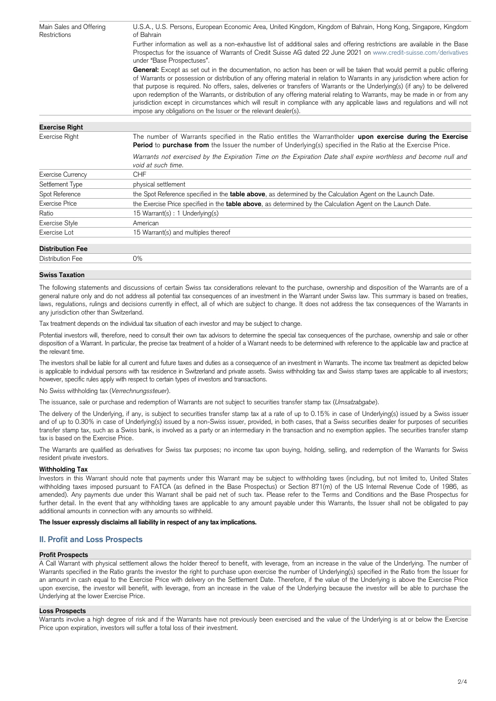| Main Sales and Offering<br>Restrictions | U.S.A., U.S. Persons, European Economic Area, United Kingdom, Kingdom of Bahrain, Hong Kong, Singapore, Kingdom<br>of Bahrain                                                                                                                                                                                                                                                                                                                                                                                                                                                                                                                                                                                               |  |  |  |
|-----------------------------------------|-----------------------------------------------------------------------------------------------------------------------------------------------------------------------------------------------------------------------------------------------------------------------------------------------------------------------------------------------------------------------------------------------------------------------------------------------------------------------------------------------------------------------------------------------------------------------------------------------------------------------------------------------------------------------------------------------------------------------------|--|--|--|
|                                         | Further information as well as a non-exhaustive list of additional sales and offering restrictions are available in the Base<br>Prospectus for the issuance of Warrants of Credit Suisse AG dated 22 June 2021 on www.credit-suisse.com/derivatives<br>under "Base Prospectuses".                                                                                                                                                                                                                                                                                                                                                                                                                                           |  |  |  |
|                                         | General: Except as set out in the documentation, no action has been or will be taken that would permit a public offering<br>of Warrants or possession or distribution of any offering material in relation to Warrants in any jurisdiction where action for<br>that purpose is required. No offers, sales, deliveries or transfers of Warrants or the Underlying(s) (if any) to be delivered<br>upon redemption of the Warrants, or distribution of any offering material relating to Warrants, may be made in or from any<br>jurisdiction except in circumstances which will result in compliance with any applicable laws and regulations and will not<br>impose any obligations on the Issuer or the relevant dealer(s). |  |  |  |
| <b>Exercise Right</b>                   |                                                                                                                                                                                                                                                                                                                                                                                                                                                                                                                                                                                                                                                                                                                             |  |  |  |
| Exercise Right                          | The number of Warrants specified in the Ratio entitles the Warrantholder upon exercise during the Exercise<br><b>Period</b> to <b>purchase from</b> the Issuer the number of Underlying(s) specified in the Ratio at the Exercise Price.                                                                                                                                                                                                                                                                                                                                                                                                                                                                                    |  |  |  |
|                                         | Warrants not exercised by the Expiration Time on the Expiration Date shall expire worthless and become null and<br>void at such time.                                                                                                                                                                                                                                                                                                                                                                                                                                                                                                                                                                                       |  |  |  |
| <b>Exercise Currency</b>                | <b>CHF</b>                                                                                                                                                                                                                                                                                                                                                                                                                                                                                                                                                                                                                                                                                                                  |  |  |  |
| Settlement Type                         | physical settlement                                                                                                                                                                                                                                                                                                                                                                                                                                                                                                                                                                                                                                                                                                         |  |  |  |
| Spot Reference                          | the Spot Reference specified in the <b>table above</b> , as determined by the Calculation Agent on the Launch Date.                                                                                                                                                                                                                                                                                                                                                                                                                                                                                                                                                                                                         |  |  |  |
| <b>Exercise Price</b>                   | the Exercise Price specified in the <b>table above</b> , as determined by the Calculation Agent on the Launch Date.                                                                                                                                                                                                                                                                                                                                                                                                                                                                                                                                                                                                         |  |  |  |
| Ratio                                   | 15 Warrant(s): 1 Underlying(s)                                                                                                                                                                                                                                                                                                                                                                                                                                                                                                                                                                                                                                                                                              |  |  |  |
| <b>Exercise Style</b>                   | American                                                                                                                                                                                                                                                                                                                                                                                                                                                                                                                                                                                                                                                                                                                    |  |  |  |
| Exercise Lot                            | 15 Warrant(s) and multiples thereof                                                                                                                                                                                                                                                                                                                                                                                                                                                                                                                                                                                                                                                                                         |  |  |  |
| <b>Distribution Fee</b>                 |                                                                                                                                                                                                                                                                                                                                                                                                                                                                                                                                                                                                                                                                                                                             |  |  |  |
| <b>Distribution Fee</b>                 | $0\%$                                                                                                                                                                                                                                                                                                                                                                                                                                                                                                                                                                                                                                                                                                                       |  |  |  |
| <b>Swiss Taxation</b>                   |                                                                                                                                                                                                                                                                                                                                                                                                                                                                                                                                                                                                                                                                                                                             |  |  |  |

Potential investors will, therefore, need to consult their own tax advisors to determine the special tax consequences of the purchase, ownership and sale or other disposition of a Warrant. In particular, the precise tax treatment of a holder of a Warrant needs to be determined with reference to the applicable law and practice at the relevant time.

The following statements and discussions of certain Swiss tax considerations relevant to the purchase, ownership and disposition of the Warrants are of a general nature only and do not address all potential tax consequences of an investment in the Warrant under Swiss law. This summary is based on treaties, laws, regulations, rulings and decisions currently in effect, all of which are subject to change. It does not address the tax consequences of the Warrants in any jurisdiction other than Switzerland.

Tax treatment depends on the individual tax situation of each investor and may be subject to change.

The investors shall be liable for all current and future taxes and duties as a consequence of an investment in Warrants. The income tax treatment as depicted below is applicable to individual persons with tax residence in Switzerland and private assets. Swiss withholding tax and Swiss stamp taxes are applicable to all investors; however, specific rules apply with respect to certain types of investors and transactions.

No Swiss withholding tax (*Verrechnungssteuer*).

The issuance, sale or purchase and redemption of Warrants are not subject to securities transfer stamp tax (*Umsatzabgabe*).

The delivery of the Underlying, if any, is subject to securities transfer stamp tax at a rate of up to 0.15% in case of Underlying(s) issued by a Swiss issuer and of up to 0.30% in case of Underlying(s) issued by a non-Swiss issuer, provided, in both cases, that a Swiss securities dealer for purposes of securities transfer stamp tax, such as a Swiss bank, is involved as a party or an intermediary in the transaction and no exemption applies. The securities transfer stamp tax is based on the Exercise Price.

The Warrants are qualified as derivatives for Swiss tax purposes; no income tax upon buying, holding, selling, and redemption of the Warrants for Swiss resident private investors.

## **Withholding Tax**

Investors in this Warrant should note that payments under this Warrant may be subject to withholding taxes (including, but not limited to, United States withholding taxes imposed pursuant to FATCA (as defined in the Base Prospectus) or Section 871(m) of the US Internal Revenue Code of 1986, as amended). Any payments due under this Warrant shall be paid net of such tax. Please refer to the Terms and Conditions and the Base Prospectus for further detail. In the event that any withholding taxes are applicable to any amount payable under this Warrants, the Issuer shall not be obligated to pay additional amounts in connection with any amounts so withheld.

## **The Issuer expressly disclaims all liability in respect of any tax implications.**

# **II. Profit and Loss Prospects**

## **Profit Prospects**

A Call Warrant with physical settlement allows the holder thereof to benefit, with leverage, from an increase in the value of the Underlying. The number of Warrants specified in the Ratio grants the investor the right to purchase upon exercise the number of Underlying(s) specified in the Ratio from the Issuer for an amount in cash equal to the Exercise Price with delivery on the Settlement Date. Therefore, if the value of the Underlying is above the Exercise Price upon exercise, the investor will benefit, with leverage, from an increase in the value of the Underlying because the investor will be able to purchase the Underlying at the lower Exercise Price.

#### **Loss Prospects**

Warrants involve a high degree of risk and if the Warrants have not previously been exercised and the value of the Underlying is at or below the Exercise Price upon expiration, investors will suffer a total loss of their investment.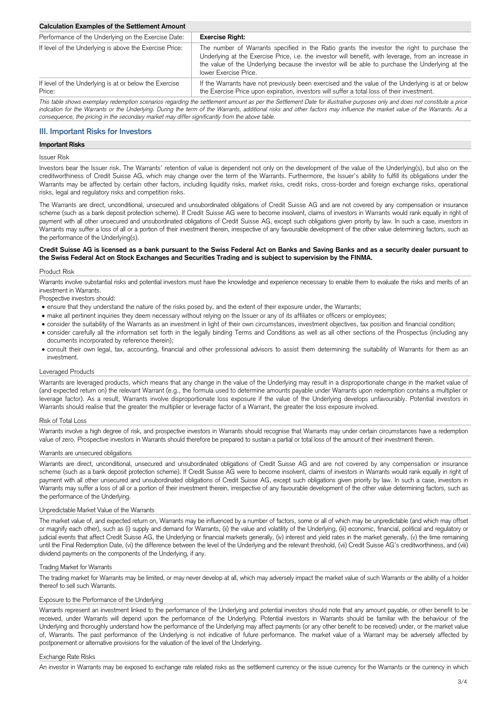## **Calculation Examples of the Settlement Amount**

| Performance of the Underlying on the Exercise Date:              | <b>Exercise Right:</b>                                                                                                                                                                                                                                                                                                          |
|------------------------------------------------------------------|---------------------------------------------------------------------------------------------------------------------------------------------------------------------------------------------------------------------------------------------------------------------------------------------------------------------------------|
| If level of the Underlying is above the Exercise Price:          | The number of Warrants specified in the Ratio grants the investor the right to purchase the<br>Underlying at the Exercise Price, i.e. the investor will benefit, with leverage, from an increase in<br>the value of the Underlying because the investor will be able to purchase the Underlying at the<br>lower Exercise Price. |
| If level of the Underlying is at or below the Exercise<br>Price: | If the Warrants have not previously been exercised and the value of the Underlying is at or below<br>the Exercise Price upon expiration, investors will suffer a total loss of their investment.                                                                                                                                |

*This table shows exemplary redemption scenarios regarding the settlement amount as per the Settlement Date for illustrative purposes only and does not constitute a price indication for the Warrants or the Underlying. During the term of the Warrants, additional risks and other factors may influence the market value of the Warrants. As a consequence, the pricing in the secondary market may differ significantly from the above table.*

# **III. Important Risks for Investors**

#### **Important Risks**

#### Issuer Risk

Investors bear the Issuer risk. The Warrants' retention of value is dependent not only on the development of the value of the Underlying(s), but also on the creditworthiness of Credit Suisse AG, which may change over the term of the Warrants. Furthermore, the Issuer's ability to fulfill its obligations under the Warrants may be affected by certain other factors, including liquidity risks, market risks, credit risks, cross-border and foreign exchange risks, operational risks, legal and regulatory risks and competition risks.

The Warrants are direct, unconditional, unsecured and unsubordinated obligations of Credit Suisse AG and are not covered by any compensation or insurance scheme (such as a bank deposit protection scheme). If Credit Suisse AG were to become insolvent, claims of investors in Warrants would rank equally in right of payment with all other unsecured and unsubordinated obligations of Credit Suisse AG, except such obligations given priority by law. In such a case, investors in Warrants may suffer a loss of all or a portion of their investment therein, irrespective of any favourable development of the other value determining factors, such as the performance of the Underlying(s).

## **Credit Suisse AG is licensed as a bank pursuant to the Swiss Federal Act on Banks and Saving Banks and as a security dealer pursuant to the Swiss Federal Act on Stock Exchanges and Securities Trading and is subject to supervision by the FINMA.**

## Product Risk

Warrants involve substantial risks and potential investors must have the knowledge and experience necessary to enable them to evaluate the risks and merits of an investment in Warrants.

Prospective investors should:

- ensure that they understand the nature of the risks posed by, and the extent of their exposure under, the Warrants;
- make all pertinent inquiries they deem necessary without relying on the Issuer or any of its affiliates or officers or employees;
- consider the suitability of the Warrants as an investment in light of their own circumstances, investment objectives, tax position and financial condition;
- consider carefully all the information set forth in the legally binding Terms and Conditions as well as all other sections of the Prospectus (including any documents incorporated by reference therein);
- consult their own legal, tax, accounting, financial and other professional advisors to assist them determining the suitability of Warrants for them as an investment.

#### Leveraged Products

Warrants are leveraged products, which means that any change in the value of the Underlying may result in a disproportionate change in the market value of (and expected return on) the relevant Warrant (e.g., the formula used to determine amounts payable under Warrants upon redemption contains a multiplier or leverage factor). As a result, Warrants involve disproportionate loss exposure if the value of the Underlying develops unfavourably. Potential investors in Warrants should realise that the greater the multiplier or leverage factor of a Warrant, the greater the loss exposure involved.

#### Risk of Total Loss

Warrants involve a high degree of risk, and prospective investors in Warrants should recognise that Warrants may under certain circumstances have a redemption value of zero. Prospective investors in Warrants should therefore be prepared to sustain a partial or total loss of the amount of their investment therein.

#### Warrants are unsecured obligations

Warrants are direct, unconditional, unsecured and unsubordinated obligations of Credit Suisse AG and are not covered by any compensation or insurance scheme (such as a bank deposit protection scheme). If Credit Suisse AG were to become insolvent, claims of investors in Warrants would rank equally in right of payment with all other unsecured and unsubordinated obligations of Credit Suisse AG, except such obligations given priority by law. In such a case, investors in Warrants may suffer a loss of all or a portion of their investment therein, irrespective of any favourable development of the other value determining factors, such as the performance of the Underlying.

#### Unpredictable Market Value of the Warrants

The market value of, and expected return on, Warrants may be influenced by a number of factors, some or all of which may be unpredictable (and which may offset or magnify each other), such as (i) supply and demand for Warrants, (ii) the value and volatility of the Underlying, (iii) economic, financial, political and regulatory or judicial events that affect Credit Suisse AG, the Underlying or financial markets generally, (iv) interest and yield rates in the market generally, (v) the time remaining until the Final Redemption Date, (vi) the difference between the level of the Underlying and the relevant threshold, (vii) Credit Suisse AG's creditworthiness, and (viii) dividend payments on the components of the Underlying, if any.

## Trading Market for Warrants

The trading market for Warrants may be limited, or may never develop at all, which may adversely impact the market value of such Warrants or the ability of a holder thereof to sell such Warrants.

### Exposure to the Performance of the Underlying

Warrants represent an investment linked to the performance of the Underlying and potential investors should note that any amount payable, or other benefit to be received, under Warrants will depend upon the performance of the Underlying. Potential investors in Warrants should be familiar with the behaviour of the Underlying and thoroughly understand how the performance of the Underlying may affect payments (or any other benefit to be received) under, or the market value of, Warrants. The past performance of the Underlying is not indicative of future performance. The market value of a Warrant may be adversely affected by postponement or alternative provisions for the valuation of the level of the Underlying.

## Exchange Rate Risks

An investor in Warrants may be exposed to exchange rate related risks as the settlement currency or the issue currency for the Warrants or the currency in which